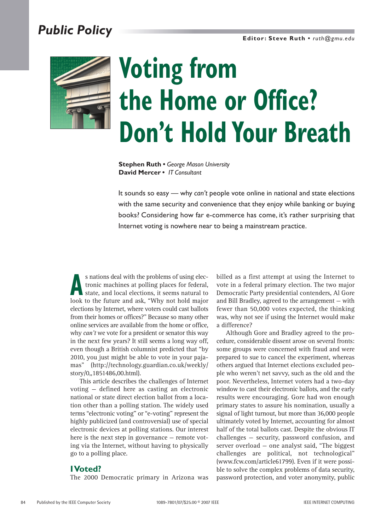## *Public Policy*



# **Voting from the Home or Office? Don't Hold Your Breath**

**Stephen Ruth •** *George Mason University* **David Mercer •** *IT Consultant*

It sounds so easy — why *can't* people vote online in national and state elections with the same security and convenience that they enjoy while banking or buying books? Considering how far e-commerce has come, it's rather surprising that Internet voting is nowhere near to being a mainstream practice.

s nations deal with the problems of using electronic machines at polling places for federal, state, and local elections, it seems natural to look to the future and sek. "Why not hold major tronic machines at polling places for federal, state, and local elections, it seems natural to look to the future and ask, "Why not hold major elections by Internet, where voters could cast ballots from their homes or offices?" Because so many other online services are available from the home or office, why *can't* we vote for a president or senator this way in the next few years? It still seems a long way off, even though a British columnist predicted that "by 2010, you just might be able to vote in your pajamas" (http://technology.guardian.co.uk/weekly/ story/0,,1851486,00.html).

This article describes the challenges of Internet voting — defined here as casting an electronic national or state direct election ballot from a location other than a polling station. The widely used terms "electronic voting" or "e-voting" represent the highly publicized (and controversial) use of special electronic devices at polling stations. Our interest here is the next step in governance — remote voting via the Internet, without having to physically go to a polling place.

#### **I Voted?**

The 2000 Democratic primary in Arizona was

billed as a first attempt at using the Internet to vote in a federal primary election. The two major Democratic Party presidential contenders, Al Gore and Bill Bradley, agreed to the arrangement — with fewer than 50,000 votes expected, the thinking was, why not see if using the Internet would make a difference?

Although Gore and Bradley agreed to the procedure, considerable dissent arose on several fronts: some groups were concerned with fraud and were prepared to sue to cancel the experiment, whereas others argued that Internet elections excluded people who weren't net savvy, such as the old and the poor. Nevertheless, Internet voters had a two-day window to cast their electronic ballots, and the early results were encouraging. Gore had won enough primary states to assure his nomination, usually a signal of light turnout, but more than 36,000 people ultimately voted by Internet, accounting for almost half of the total ballots cast. Despite the obvious IT challenges — security, password confusion, and server overload — one analyst said, "The biggest challenges are political, not technological" (www.fcw.com/article61799). Even if it were possible to solve the complex problems of data security, password protection, and voter anonymity, public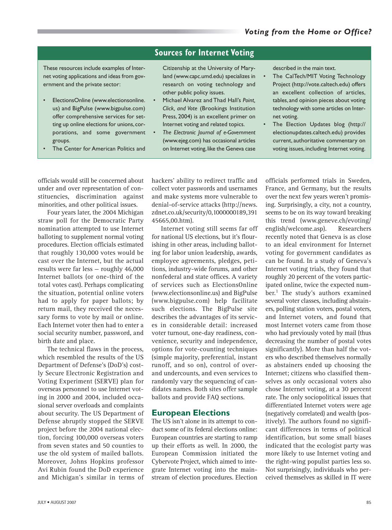### **Sources for Internet Voting**

These resources include examples of Internet voting applications and ideas from government and the private sector:

- ElectionsOnline (www.electionsonline. us) and BigPulse (www.bigpulse.com) offer comprehensive services for setting up online elections for unions, corporations, and some government groups.
- The Center for American Politics and

Citizenship at the University of Maryland (www.capc.umd.edu) specializes in research on voting technology and other public policy issues.

- Michael Alvarez and Thad Hall's *Point, Click, and Vote* (Brookings Institution Press, 2004) is an excellent primer on Internet voting and related topics.
- *The Electronic Journal of e-Government* (www.ejeg.com) has occasional articles on Internet voting, like the Geneva case

described in the main text.

- The CalTech/MIT Voting Technology Project (http://vote.caltech.edu) offers an excellent collection of articles, tables, and opinion pieces about voting technology with some articles on Internet voting.
- The Election Updates blog (http:// electionupdates.caltech.edu) provides current, authoritative commentary on voting issues, including Internet voting.

officials would still be concerned about under and over representation of constituencies, discrimination against minorities, and other political issues.

Four years later, the 2004 Michigan straw poll for the Democratic Party nomination attempted to use Internet balloting to supplement normal voting procedures. Election officials estimated that roughly 130,000 votes would be cast over the Internet, but the actual results were far less — roughly 46,000 Internet ballots (or one-third of the total votes cast). Perhaps complicating the situation, potential online voters had to apply for paper ballots; by return mail, they received the necessary forms to vote by mail or online. Each Internet voter then had to enter a social security number, password, and birth date and place.

The technical flaws in the process, which resembled the results of the US Department of Defense's (DoD's) costly Secure Electronic Registration and Voting Experiment (SERVE) plan for overseas personnel to use Internet voting in 2000 and 2004, included occasional server overloads and complaints about security. The US Department of Defense abruptly stopped the SERVE project before the 2004 national election, forcing 100,000 overseas voters from seven states and 50 counties to use the old system of mailed ballots. Moreover, Johns Hopkins professor Avi Rubin found the DoD experience and Michigan's similar in terms of hackers' ability to redirect traffic and collect voter passwords and usernames and make systems more vulnerable to denial-of-service attacks (http://news. zdnet.co.uk/security/0,1000000189,391 45665,00.htm).

Internet voting still seems far off for national US elections, but it's flourishing in other areas, including balloting for labor union leadership, awards, employee agreements, pledges, petitions, industry-wide forums, and other nonfederal and state offices. A variety of services such as ElectionsOnline (www.electionsonline.us) and BigPulse (www.bigpulse.com) help facilitate such elections. The BigPulse site describes the advantages of its services in considerable detail: increased voter turnout, one-day readiness, convenience, security and independence, options for vote-counting techniques (simple majority, preferential, instant runoff, and so on), control of overand undercounts, and even services to randomly vary the sequencing of candidates names. Both sites offer sample ballots and provide FAQ sections.

#### **European Elections**

The US isn't alone in its attempt to conduct some of its federal elections online: European countries are starting to ramp up their efforts as well. In 2000, the European Commission initiated the Cybervote Project, which aimed to integrate Internet voting into the mainstream of election procedures. Election

officials performed trials in Sweden, France, and Germany, but the results over the next few years weren't promising. Surprisingly, a city, not a country, seems to be on its way toward breaking this trend (www.geneve.ch/evoting/ english/welcome.asp). Researchers recently noted that Geneva is as close to an ideal environment for Internet voting for government candidates as can be found. In a study of Geneva's Internet voting trials, they found that roughly 20 percent of the voters participated online, twice the expected number.<sup>1</sup> The study's authors examined several voter classes, including abstainers, polling station voters, postal voters, and Internet voters, and found that most Internet voters came from those who had previously voted by mail (thus decreasing the number of postal votes significantly). More than half the voters who described themselves normally as abstainers ended up choosing the Internet; citizens who classified themselves as only occasional voters also chose Internet voting, at a 30 percent rate. The only sociopolitical issues that differentiated Internet voters were age (negatively correlated) and wealth (positively). The authors found no significant differences in terms of political identification, but some small biases indicated that the ecologist party was more likely to use Internet voting and the right-wing populist parties less so. Not surprisingly, individuals who perceived themselves as skilled in IT were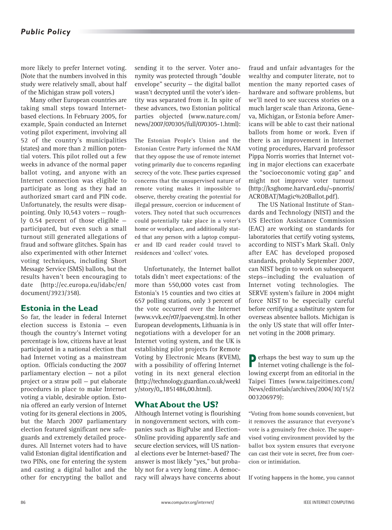more likely to prefer Internet voting. (Note that the numbers involved in this study were relatively small, about half of the Michigan straw poll voters.)

Many other European countries are taking small steps toward Internetbased elections. In February 2005, for example, Spain conducted an Internet voting pilot experiment, involving all 52 of the country's municipalities (states) and more than 2 million potential voters. This pilot rolled out a few weeks in advance of the normal paper ballot voting, and anyone with an Internet connection was eligible to participate as long as they had an authorized smart card and PIN code. Unfortunately, the results were disappointing. Only 10,543 voters — roughly 0.54 percent of those eligible participated, but even such a small turnout still generated allegations of fraud and software glitches. Spain has also experimented with other Internet voting techniques, including Short Message Service (SMS) ballots, but the results haven't been encouraging to date (http://ec.europa.eu/idabc/en/ document/3923/358).

#### **Estonia in the Lead**

So far, the leader in federal Internet election success is Estonia — even though the country's Internet voting percentage is low, citizens have at least participated in a national election that had Internet voting as a mainstream option. Officials conducting the 2007 parliamentary election — not a pilot project or a straw poll — put elaborate procedures in place to make Internet voting a viable, desirable option. Estonia offered an early version of Internet voting for its general elections in 2005, but the March 2007 parliamentary election featured significant new safeguards and extremely detailed procedures. All Internet voters had to have valid Estonian digital identification and two PINs, one for entering the system and casting a digital ballot and the other for encrypting the ballot and

sending it to the server. Voter anonymity was protected through "double envelope" security — the digital ballot wasn't decrypted until the voter's identity was separated from it. In spite of these advances, two Estonian political parties objected (www.nature.com/ news/2007/070305/full/070305-1.html):

The Estonian People's Union and the Estonian Centre Party informed the NAM that they oppose the use of remote internet voting primarily due to concerns regarding secrecy of the vote. These parties expressed concerns that the unsupervised nature of remote voting makes it impossible to observe, thereby creating the potential for illegal pressure, coercion or inducement of voters. They noted that such occurrences could potentially take place in a voter's home or workplace, and additionally stated that any person with a laptop computer and ID card reader could travel to residences and 'collect' votes.

Unfortunately, the Internet ballot totals didn't meet expectations: of the more than 550,000 votes cast from Estonia's 15 counties and two cities at 657 polling stations, only 3 percent of the vote occurred over the Internet (www.vvk.ee/r07/paeveng.stm). In other European developments, Lithuania is in negotiations with a developer for an Internet voting system, and the UK is establishing pilot projects for Remote Voting by Electronic Means (RVEM), with a possibility of offering Internet voting in its next general election (http://technology.guardian.co.uk/weekl y/story/0,,1851486,00.html).

#### **What About the US?**

Although Internet voting is flourishing in nongovernment sectors, with companies such as BigPulse and ElectionsOnline providing apparently safe and secure election services, will US national elections ever be Internet-based? The answer is most likely "yes," but probably not for a very long time. A democracy will always have concerns about

fraud and unfair advantages for the wealthy and computer literate, not to mention the many reported cases of hardware and software problems, but we'll need to see success stories on a much larger scale than Arizona, Geneva, Michigan, or Estonia before Americans will be able to cast their national ballots from home or work. Even if there is an improvement in Internet voting procedures, Harvard professor Pippa Norris worries that Internet voting in major elections can exacerbate the "socioeconomic voting gap" and might not improve voter turnout (http://ksghome.harvard.edu/~pnorris/ ACROBAT/Magic%20Ballot.pdf).

The US National Institute of Standards and Technology (NIST) and the US Election Assistance Commission (EAC) are working on standards for laboratories that certify voting systems, according to NIST's Mark Skall. Only after EAC has developed proposed standards, probably September 2007, can NIST begin to work on subsequent steps—including the evaluation of Internet voting technologies. The SERVE system's failure in 2004 might force NIST to be especially careful before certifying a substitute system for overseas absentee ballots. Michigan is the only US state that will offer Internet voting in the 2008 primary.

**P**erhaps the best way to sum up the Internet voting challenge is the following excerpt from an editorial in the Taipei Times (www.taipeitimes.com/ News/editorials/archives/2004/10/15/2 003206979):

"Voting from home sounds convenient, but it removes the assurance that everyone's vote is a genuinely free choice. The supervised voting environment provided by the ballot box system ensures that everyone can cast their vote in secret, free from coercion or intimidation.

If voting happens in the home, you cannot